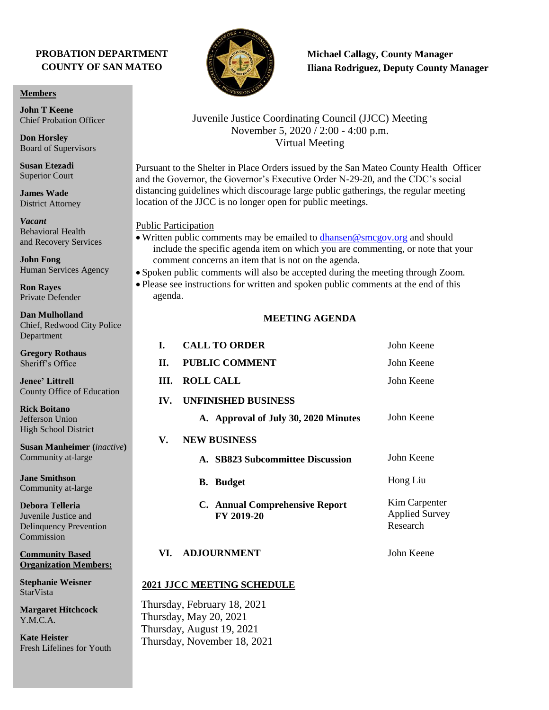## **PROBATION DEPARTMENT COUNTY OF SAN MATEO**

#### **Members**

**John T Keene** Chief Probation Officer

**Don Horsley** Board of Supervisors

**Susan Etezadi** Superior Court

**James Wade** District Attorney

*Vacant* Behavioral Health and Recovery Services

**John Fong** Human Services Agency

**Ron Rayes** Private Defender

**Dan Mulholland** Chief, Redwood City Police Department

**Gregory Rothaus** Sheriff's Office

**Jenee' Littrell** County Office of Education

**Rick Boitano** Jefferson Union High School District

**Susan Manheimer (***inactive***)** Community at-large

**Jane Smithson** Community at-large

**Debora Telleria** Juvenile Justice and Delinquency Prevention Commission

**Community Based Organization Members:** 

**Stephanie Weisner StarVista** 

**Margaret Hitchcock** Y.M.C.A.

**Kate Heister** Fresh Lifelines for Youth



**Michael Callagy, County Manager Iliana Rodriguez, Deputy County Manager**

## Juvenile Justice Coordinating Council (JJCC) Meeting November 5, 2020 / 2:00 - 4:00 p.m. Virtual Meeting

Pursuant to the Shelter in Place Orders issued by the San Mateo County Health Officer and the Governor, the Governor's Executive Order N-29-20, and the CDC's social distancing guidelines which discourage large public gatherings, the regular meeting location of the JJCC is no longer open for public meetings.

#### Public Participation

• Written public comments may be emailed to [dhansen@smcgov.org](mailto:dhansen@smcgov.org) and should include the specific agenda item on which you are commenting, or note that your comment concerns an item that is not on the agenda.

• Spoken public comments will also be accepted during the meeting through Zoom.

• Please see instructions for written and spoken public comments at the end of this agenda.

### **MEETING AGENDA**

| L.                                | <b>CALL TO ORDER</b>                                                                                              | John Keene                                         |
|-----------------------------------|-------------------------------------------------------------------------------------------------------------------|----------------------------------------------------|
| II.                               | <b>PUBLIC COMMENT</b>                                                                                             | John Keene                                         |
| III.                              | <b>ROLL CALL</b>                                                                                                  | John Keene                                         |
| IV.                               | <b>UNFINISHED BUSINESS</b>                                                                                        |                                                    |
|                                   | A. Approval of July 30, 2020 Minutes                                                                              | John Keene                                         |
| V.                                | <b>NEW BUSINESS</b>                                                                                               |                                                    |
|                                   | A. SB823 Subcommittee Discussion                                                                                  | John Keene                                         |
|                                   | <b>B.</b> Budget                                                                                                  | Hong Liu                                           |
|                                   | C. Annual Comprehensive Report<br>FY 2019-20                                                                      | Kim Carpenter<br><b>Applied Survey</b><br>Research |
| VI.                               | <b>ADJOURNMENT</b>                                                                                                | John Keene                                         |
| <b>2021 JJCC MEETING SCHEDULE</b> |                                                                                                                   |                                                    |
|                                   | Thursday, February 18, 2021<br>Thursday, May 20, 2021<br>Thursday, August 19, 2021<br>Thursday, November 18, 2021 |                                                    |